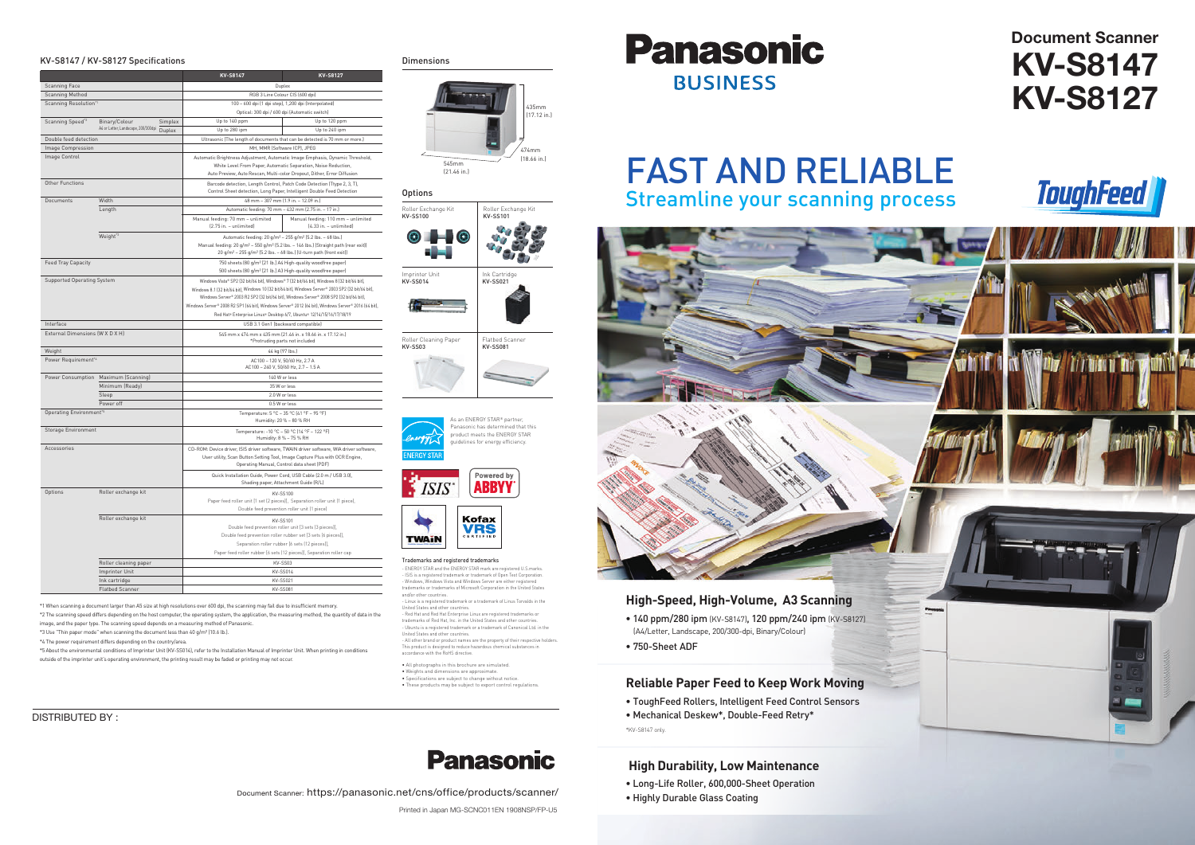# **Document Scanner KV-S8147 KV-S8127**









- 
- 

- 
- 

### **High Durability, Low Maintenance**

- Long-Life Roller, 600,000-Sheet Operation
- Highly Durable Glass Coating

# FAST AND RELIABLE Streamline your scanning process

Document Scanner: https://panasonic.net/cns/office/products/scanner/

DISTRIBUTED BY :

Printed in Japan MG-SCNC011EN 1908NSP/FP-U5



trademarks of Red Hat, Inc. in the United States and other countries. - Ubuntu is a registered trademark or a trademark of Canonical Ltd. in the United States and other countries. - All other brand or product names are the property of their respective holders

#### Trademarks and registered trademarks

- ENERGY STAR and the ENERGY STAR mark are registered U.S.marks. - ISIS is a registered trademark or trademark of Open Text Corporation. - Windows, Windows Vista and Windows Server are either registered trademarks or trademarks of Microsoft Corporation in the United States and/or other countries.

- Linux is a registered trademark or a trademark of Linus Torvalds in the United States and other countries. - Red Hat and Red Hat Enterprise Linux are registered trademarks or

This product is designed to reduce hazardous chemical substances in accordance with the RoHS directive.

• All photographs in this brochure are simulated. • Weights and dimensions are approximate. • Specifications are subject to change without notice. • These products may be subject to export control regulations.











#### **Options**



\*1 When scanning a document larger than A5 size at high resolutions over 600 dpi, the scanning may fail due to insufficient memory. \*2 The scanning speed differs depending on the host computer, the operating system, the application, the measuring method, the quantity of data in the image, and the paper type. The scanning speed depends on a measuring method of Panasonic.

\*3 Use "Thin paper mode" when scanning the document less than 40 g/m² (10.6 lb.).

\*4 The power requirement differs depending on the country/area.

#### KV-S8147 / KV-S8127 Specifications by the control of the Dimensions Dimensions

|                                                |                                               | KV-S8147                                                                                                                                                                                                                                                                                         | KV-S8127                           |
|------------------------------------------------|-----------------------------------------------|--------------------------------------------------------------------------------------------------------------------------------------------------------------------------------------------------------------------------------------------------------------------------------------------------|------------------------------------|
| Scanning Face                                  |                                               |                                                                                                                                                                                                                                                                                                  | Duplex                             |
| Scanning Method                                |                                               | RGB 3 Line Colour CIS (600 dpi)                                                                                                                                                                                                                                                                  |                                    |
| Scanning Resolution*1                          |                                               | 100 - 600 dpi (1 dpi step), 1,200 dpi (Interpolated)                                                                                                                                                                                                                                             |                                    |
|                                                |                                               | Optical: 300 dpi / 600 dpi (Automatic switch)                                                                                                                                                                                                                                                    |                                    |
| Scanning Speed' <sup>2</sup>                   | Binary/Colour<br>Simplex                      | Up to 140 ppm                                                                                                                                                                                                                                                                                    | Up to 120 ppm                      |
|                                                | A4 or Letter, Landscape, 200/300dpi<br>Duplex | Up to 280 ipm                                                                                                                                                                                                                                                                                    | Up to 240 ipm                      |
| Double feed detection                          |                                               | Ultrasonic (The length of documents that can be detected is 70 mm or more.)                                                                                                                                                                                                                      |                                    |
| Image Compression                              |                                               | MH, MMR (Software ICP), JPEG                                                                                                                                                                                                                                                                     |                                    |
| Image Control                                  |                                               | Automatic Brightness Adjustment, Automatic Image Emphasis, Dynamic Threshold,                                                                                                                                                                                                                    |                                    |
|                                                |                                               | White Level From Paper, Automatic Separation, Noise Reduction,                                                                                                                                                                                                                                   |                                    |
|                                                |                                               | Auto Preview, Auto Rescan, Multi-color Dropout, Dither, Error Diffusion                                                                                                                                                                                                                          |                                    |
| Other Functions                                |                                               | Barcode detection, Length Control, Patch Code Detection (Ttype 2, 3, T),<br>Control Sheet detection, Long Paper, Intelligent Double Feed Detection                                                                                                                                               |                                    |
| Documents                                      | Width                                         | 48 mm - 307 mm (1.9 in. - 12.09 in.)                                                                                                                                                                                                                                                             |                                    |
|                                                | Length                                        | Automatic feeding: 70 mm - 432 mm (2.75 in. - 17 in.)                                                                                                                                                                                                                                            |                                    |
|                                                |                                               | Manual feeding: 70 mm - unlimited                                                                                                                                                                                                                                                                | Manual feeding: 110 mm - unlimited |
|                                                |                                               | (2.75 in. - unlimited)                                                                                                                                                                                                                                                                           | (4.33 in. - unlimited)             |
|                                                | Weight' <sup>3</sup>                          | Automatic feeding: 20 g/m <sup>2</sup> - 255 g/m <sup>2</sup> (5.2 lbs. - 68 lbs.)<br>Manual feeding: 20 g/m <sup>2</sup> - 550 g/m <sup>2</sup> (5.2 lbs. - 146 lbs.) (Straight path (rear exit))<br>20 g/m <sup>2</sup> - 255 g/m <sup>2</sup> (5.2 lbs. - 68 lbs.) (U-turn path (front exit)) |                                    |
|                                                |                                               |                                                                                                                                                                                                                                                                                                  |                                    |
|                                                |                                               |                                                                                                                                                                                                                                                                                                  |                                    |
| Feed Tray Capacity                             |                                               | 750 sheets (80 g/m <sup>2</sup> [21 lb.] A4 High-quality woodfree paper)                                                                                                                                                                                                                         |                                    |
|                                                |                                               | 500 sheets (80 g/m <sup>2</sup> [21 lb.] A3 High-quality woodfree paper)                                                                                                                                                                                                                         |                                    |
| <b>Supported Operating System</b><br>Interface |                                               | Windows Vista® SP2 (32 bit/64 bit), Windows® 7 (32 bit/64 bit), Windows 8 (32 bit/64 bit),                                                                                                                                                                                                       |                                    |
|                                                |                                               | Windows 8.1 (32 bit/64 bit), Windows 10 (32 bit/64 bit), Windows Server® 2003 SP2 (32 bit/64 bit),                                                                                                                                                                                               |                                    |
|                                                |                                               | Windows Server® 2003 R2 SP2 (32 bit/64 bit), Windows Server® 2008 SP2 (32 bit/64 bit),                                                                                                                                                                                                           |                                    |
|                                                |                                               | Windows Server® 2008 R2 SP1 (64 bit), Windows Server® 2012 (64 bit), Windows Server® 2016 (64 bit),                                                                                                                                                                                              |                                    |
|                                                |                                               | Red Hat® Enterprise Linux® Desktop 6/7, Ubuntu® 12/14/15/16/17/18/19                                                                                                                                                                                                                             |                                    |
|                                                |                                               | USB 3.1 Gen1 (backward compatible)                                                                                                                                                                                                                                                               |                                    |
| External Dimensions (W X D X H)                |                                               |                                                                                                                                                                                                                                                                                                  |                                    |
|                                                |                                               | 545 mm x 474 mm x 435 mm (21.46 in. x 18.66 in. x 17.12 in.)<br>*Protruding parts not included                                                                                                                                                                                                   |                                    |
| Weight                                         |                                               | 44 kg (97 lbs.)                                                                                                                                                                                                                                                                                  |                                    |
| Power Requirement*4                            |                                               |                                                                                                                                                                                                                                                                                                  |                                    |
|                                                |                                               | AC100 - 120 V, 50/60 Hz, 2.7 A<br>AC100 - 240 V, 50/60 Hz, 2.7 - 1.5 A                                                                                                                                                                                                                           |                                    |
|                                                | Power Consumption Maximum (Scanning)          | 140 W or less                                                                                                                                                                                                                                                                                    |                                    |
|                                                | Minimum (Ready)                               | 35 W or less                                                                                                                                                                                                                                                                                     |                                    |
|                                                | Sleep                                         | 2.0 W or less                                                                                                                                                                                                                                                                                    |                                    |
| Power off                                      |                                               | 0.5 W or less                                                                                                                                                                                                                                                                                    |                                    |
| Operating Environment' <sup>5</sup>            |                                               | Temperature: 5 °C - 35 °C (41 °F - 95 °F)<br>Humidity: 20 % - 80 % RH                                                                                                                                                                                                                            |                                    |
| <b>Storage Environment</b>                     |                                               | Temperature: -10 °C - 50 °C (14 °F - 122 °F)<br>Humidity: 8 % - 75 % RH                                                                                                                                                                                                                          |                                    |
| Accessories                                    |                                               | CD-ROM: Device driver, ISIS driver software, TWAIN driver software, WIA driver software,                                                                                                                                                                                                         |                                    |
|                                                |                                               | User utility, Scan Button Setting Tool, Image Capture Plus with OCR Engine,                                                                                                                                                                                                                      |                                    |
|                                                |                                               | Operating Manual, Control data sheet (PDF)                                                                                                                                                                                                                                                       |                                    |
|                                                |                                               | Quick Installation Guide, Power Cord, USB Cable (2.0 m / USB 3.0),<br>Shading paper, Attachment Guide (R/L)                                                                                                                                                                                      |                                    |
| Options                                        | Roller exchange kit                           | KV-SS100<br>Paper feed roller unit [1 set (2 pieces)], Separation roller unit (1 piece),<br>Double feed prevention roller unit (1 piece)                                                                                                                                                         |                                    |
|                                                |                                               |                                                                                                                                                                                                                                                                                                  |                                    |
|                                                |                                               |                                                                                                                                                                                                                                                                                                  |                                    |
|                                                | Roller exchange kit                           | <b>KV-SS101</b>                                                                                                                                                                                                                                                                                  |                                    |
|                                                |                                               | Double feed prevention roller unit [3 sets [3 pieces]],                                                                                                                                                                                                                                          |                                    |
|                                                |                                               | Double feed prevention roller rubber set [3 sets (6 pieces]],                                                                                                                                                                                                                                    |                                    |
|                                                |                                               | Separation roller rubber [6 sets (12 pieces]],                                                                                                                                                                                                                                                   |                                    |
|                                                |                                               | Paper feed roller rubber [6 sets (12 pieces]], Separation roller cap                                                                                                                                                                                                                             |                                    |
|                                                |                                               | KV-SS03                                                                                                                                                                                                                                                                                          |                                    |
|                                                | Roller cleaning paper                         |                                                                                                                                                                                                                                                                                                  |                                    |
|                                                | Imprinter Unit                                | KV-SS014                                                                                                                                                                                                                                                                                         |                                    |
|                                                | Ink cartridge                                 | KV-SS021                                                                                                                                                                                                                                                                                         |                                    |
|                                                | <b>Flatbed Scanner</b>                        | KV-SS081                                                                                                                                                                                                                                                                                         |                                    |

\*5 About the environmental conditions of Imprinter Unit (KV-SS014), refer to the Installation Manual of Imprinter Unit. When printing in conditions outside of the imprinter unit's operating environment, the printing result may be faded or printing may not occur.